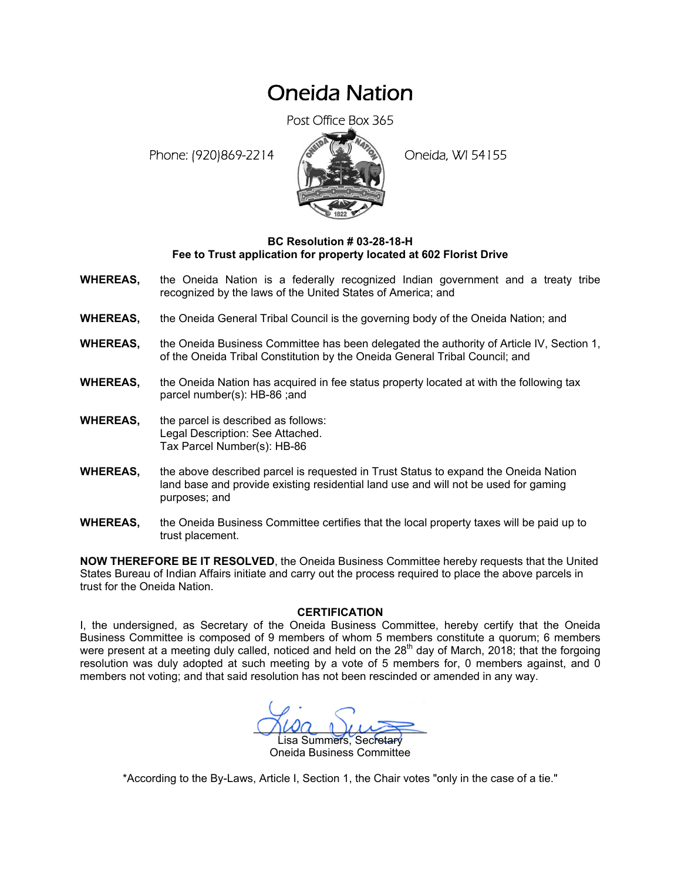## Oneida Nation

Post Office Box 365

Phone: (920)869-2214 (8 22 3) Oneida, WI 54155



## **BC Resolution # 03-28-18-H Fee to Trust application for property located at 602 Florist Drive**

- **WHEREAS,** the Oneida Nation is a federally recognized Indian government and a treaty tribe recognized by the laws of the United States of America; and
- **WHEREAS,** the Oneida General Tribal Council is the governing body of the Oneida Nation; and
- **WHEREAS,** the Oneida Business Committee has been delegated the authority of Article IV, Section 1, of the Oneida Tribal Constitution by the Oneida General Tribal Council; and
- **WHEREAS,** the Oneida Nation has acquired in fee status property located at with the following tax parcel number(s): HB-86 ;and
- **WHEREAS,** the parcel is described as follows: Legal Description: See Attached. Tax Parcel Number(s): HB-86
- **WHEREAS,** the above described parcel is requested in Trust Status to expand the Oneida Nation land base and provide existing residential land use and will not be used for gaming purposes; and
- **WHEREAS,** the Oneida Business Committee certifies that the local property taxes will be paid up to trust placement.

**NOW THEREFORE BE IT RESOLVED**, the Oneida Business Committee hereby requests that the United States Bureau of Indian Affairs initiate and carry out the process required to place the above parcels in trust for the Oneida Nation.

## **CERTIFICATION**

I, the undersigned, as Secretary of the Oneida Business Committee, hereby certify that the Oneida Business Committee is composed of 9 members of whom 5 members constitute a quorum; 6 members were present at a meeting duly called, noticed and held on the  $28<sup>th</sup>$  day of March, 2018; that the forgoing resolution was duly adopted at such meeting by a vote of 5 members for, 0 members against, and 0 members not voting; and that said resolution has not been rescinded or amended in any way.

 $M^2$ isa Summers, Secretary Oneida Business Committee

\*According to the By-Laws, Article I, Section 1, the Chair votes "only in the case of a tie."